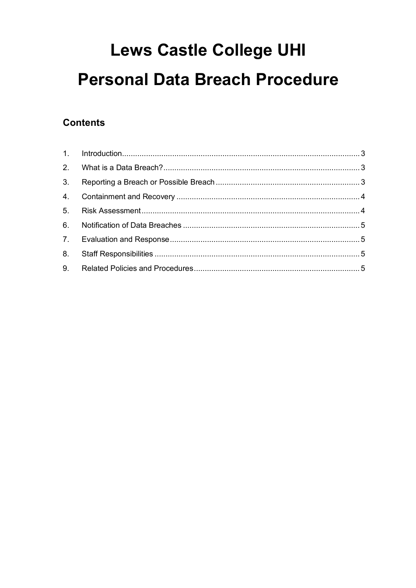# **Lews Castle College UHI Personal Data Breach Procedure**

#### **Contents**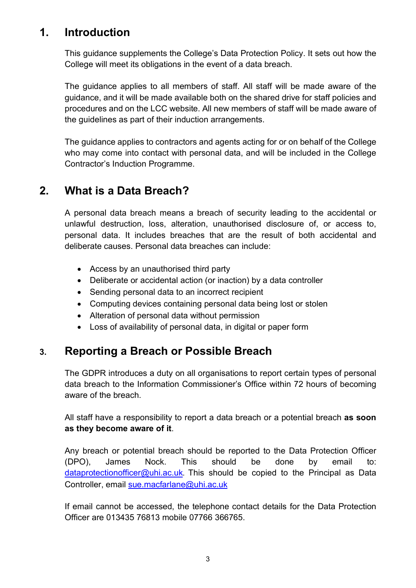#### <span id="page-1-0"></span>**1. Introduction**

This guidance supplements the College's Data Protection Policy. It sets out how the College will meet its obligations in the event of a data breach.

The guidance applies to all members of staff. All staff will be made aware of the guidance, and it will be made available both on the shared drive for staff policies and procedures and on the LCC website. All new members of staff will be made aware of the guidelines as part of their induction arrangements.

The guidance applies to contractors and agents acting for or on behalf of the College who may come into contact with personal data, and will be included in the College Contractor's Induction Programme.

## <span id="page-1-1"></span>**2. What is a Data Breach?**

A personal data breach means a breach of security leading to the accidental or unlawful destruction, loss, alteration, unauthorised disclosure of, or access to, personal data. It includes breaches that are the result of both accidental and deliberate causes. Personal data breaches can include:

- Access by an unauthorised third party
- Deliberate or accidental action (or inaction) by a data controller
- Sending personal data to an incorrect recipient
- Computing devices containing personal data being lost or stolen
- Alteration of personal data without permission
- Loss of availability of personal data, in digital or paper form

## <span id="page-1-2"></span>**3. Reporting a Breach or Possible Breach**

The GDPR introduces a duty on all organisations to report certain types of personal data breach to the Information Commissioner's Office within 72 hours of becoming aware of the breach.

All staff have a responsibility to report a data breach or a potential breach **as soon as they become aware of it**.

Any breach or potential breach should be reported to the Data Protection Officer (DPO), James Nock. This should be done by email to: [dataprotectionofficer@uhi.ac.uk](mailto:dataprotectionofficer@uhi.ac.uk). This should be copied to the Principal as Data Controller, email [sue.macfarlane@uhi.ac.uk](mailto:sue.macfarlane@uhi.ac.uk)

If email cannot be accessed, the telephone contact details for the Data Protection Officer are 013435 76813 mobile 07766 366765.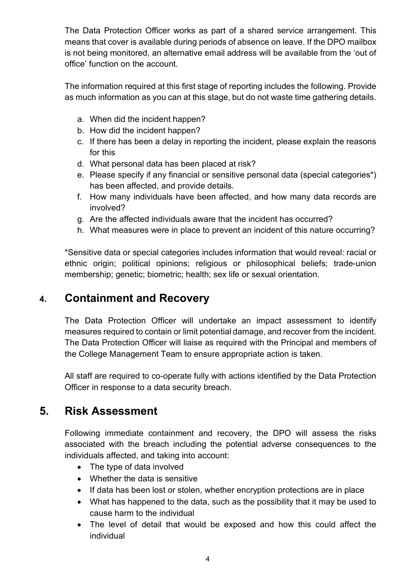The Data Protection Officer works as part of a shared service arrangement. This means that cover is available during periods of absence on leave. If the DPO mailbox is not being monitored, an alternative email address will be available from the 'out of office' function on the account.

The information required at this first stage of reporting includes the following. Provide as much information as you can at this stage, but do not waste time gathering details.

- a. When did the incident happen?
- b. How did the incident happen?
- c. If there has been a delay in reporting the incident, please explain the reasons for this
- d. What personal data has been placed at risk?
- e. Please specify if any financial or sensitive personal data (special categories\*) has been affected, and provide details.
- f. How many individuals have been affected, and how many data records are involved?
- g. Are the affected individuals aware that the incident has occurred?
- h. What measures were in place to prevent an incident of this nature occurring?

\*Sensitive data or special categories includes information that would reveal: racial or ethnic origin; political opinions; religious or philosophical beliefs; trade-union membership; genetic; biometric; health; sex life or sexual orientation.

#### <span id="page-2-0"></span>**4. Containment and Recovery**

The Data Protection Officer will undertake an impact assessment to identify measures required to contain or limit potential damage, and recover from the incident. The Data Protection Officer will liaise as required with the Principal and members of the College Management Team to ensure appropriate action is taken.

All staff are required to co-operate fully with actions identified by the Data Protection Officer in response to a data security breach.

## <span id="page-2-1"></span>**5. Risk Assessment**

Following immediate containment and recovery, the DPO will assess the risks associated with the breach including the potential adverse consequences to the individuals affected, and taking into account:

- The type of data involved
- Whether the data is sensitive
- If data has been lost or stolen, whether encryption protections are in place
- What has happened to the data, such as the possibility that it may be used to cause harm to the individual
- The level of detail that would be exposed and how this could affect the individual